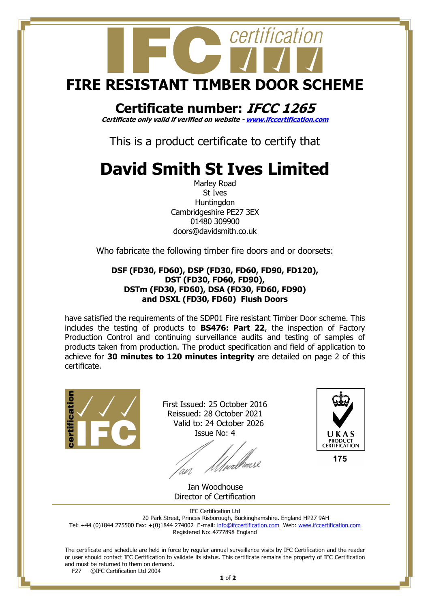

## **Certificate number: IFCC 1265**

**Certificate only valid if verified on website - [www.ifccertification.com](http://www.ifccertification.com/)**

This is a product certificate to certify that

## **David Smith St Ives Limited**

Marley Road St Ives **Huntingdon** Cambridgeshire PE27 3EX 01480 309900 doors@davidsmith.co.uk

Who fabricate the following timber fire doors and or doorsets:

## **DSF (FD30, FD60), DSP (FD30, FD60, FD90, FD120), DST (FD30, FD60, FD90), DSTm (FD30, FD60), DSA (FD30, FD60, FD90) and DSXL (FD30, FD60) Flush Doors**

have satisfied the requirements of the SDP01 Fire resistant Timber Door scheme. This includes the testing of products to **BS476: Part 22**, the inspection of Factory Production Control and continuing surveillance audits and testing of samples of products taken from production. The product specification and field of application to achieve for **30 minutes to 120 minutes integrity** are detailed on page 2 of this certificate.



First Issued: 25 October 2016 Reissued: 28 October 2021 Valid to: 24 October 2026 Issue No: 4

welleuse



 Ian Woodhouse Director of Certification

IFC Certification Ltd 20 Park Street, Princes Risborough, Buckinghamshire. England HP27 9AH Tel: +44 (0)1844 275500 Fax: +(0)1844 274002 E-mail[: info@ifccertification.com](mailto:info@ifccertification.com) Web: [www.ifccertification.com](http://www.ifccertification.com/) Registered No: 4777898 England

The certificate and schedule are held in force by regular annual surveillance visits by IFC Certification and the reader or user should contact IFC Certification to validate its status. This certificate remains the property of IFC Certification and must be returned to them on demand.<br> $F27$  © TEC Certification Ltd 2004 ©IFC Certification Ltd 2004

**1** of **2**